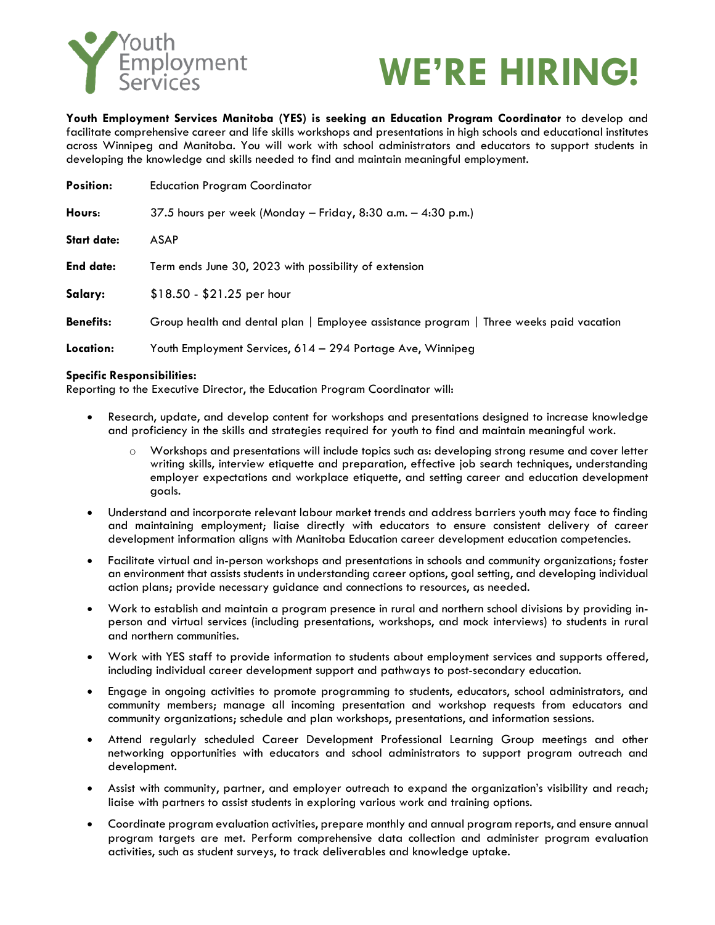

## **WE'RE HIRING!**

**Youth Employment Services Manitoba (YES) is seeking an Education Program Coordinator** to develop and facilitate comprehensive career and life skills workshops and presentations in high schools and educational institutes across Winnipeg and Manitoba. You will work with school administrators and educators to support students in developing the knowledge and skills needed to find and maintain meaningful employment.

| <b>Position:</b>   | <b>Education Program Coordinator</b>                                                   |
|--------------------|----------------------------------------------------------------------------------------|
| Hours:             | 37.5 hours per week (Monday – Friday, 8:30 a.m. – 4:30 p.m.)                           |
| <b>Start date:</b> | <b>ASAP</b>                                                                            |
| <b>End date:</b>   | Term ends June 30, 2023 with possibility of extension                                  |
| Salary:            | $$18.50 - $21.25$ per hour                                                             |
| <b>Benefits:</b>   | Group health and dental plan   Employee assistance program   Three weeks paid vacation |
| Location:          | Youth Employment Services, 614 – 294 Portage Ave, Winnipeg                             |

## **Specific Responsibilities:**

Reporting to the Executive Director, the Education Program Coordinator will:

- Research, update, and develop content for workshops and presentations designed to increase knowledge and proficiency in the skills and strategies required for youth to find and maintain meaningful work.
	- o Workshops and presentations will include topics such as: developing strong resume and cover letter writing skills, interview etiquette and preparation, effective job search techniques, understanding employer expectations and workplace etiquette, and setting career and education development goals.
- Understand and incorporate relevant labour market trends and address barriers youth may face to finding and maintaining employment; liaise directly with educators to ensure consistent delivery of career development information aligns with Manitoba Education career development education competencies.
- Facilitate virtual and in-person workshops and presentations in schools and community organizations; foster an environment that assists students in understanding career options, goal setting, and developing individual action plans; provide necessary guidance and connections to resources, as needed.
- Work to establish and maintain a program presence in rural and northern school divisions by providing inperson and virtual services (including presentations, workshops, and mock interviews) to students in rural and northern communities.
- Work with YES staff to provide information to students about employment services and supports offered, including individual career development support and pathways to post-secondary education.
- Engage in ongoing activities to promote programming to students, educators, school administrators, and community members; manage all incoming presentation and workshop requests from educators and community organizations; schedule and plan workshops, presentations, and information sessions.
- Attend regularly scheduled Career Development Professional Learning Group meetings and other networking opportunities with educators and school administrators to support program outreach and development.
- Assist with community, partner, and employer outreach to expand the organization's visibility and reach; liaise with partners to assist students in exploring various work and training options.
- Coordinate program evaluation activities, prepare monthly and annual program reports, and ensure annual program targets are met. Perform comprehensive data collection and administer program evaluation activities, such as student surveys, to track deliverables and knowledge uptake.